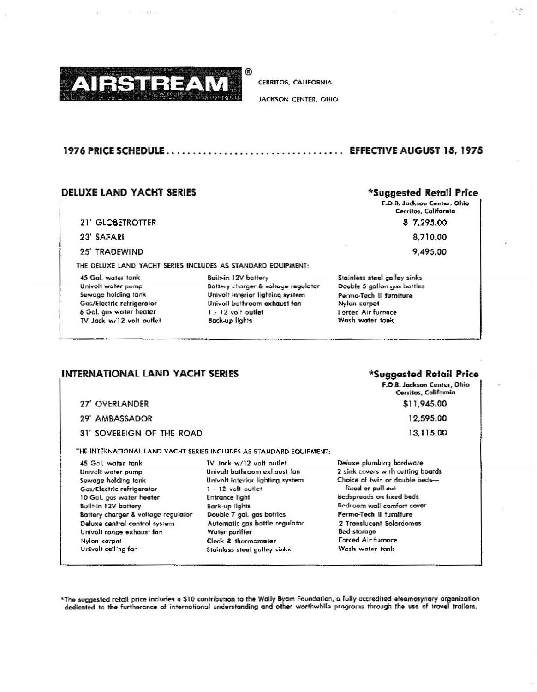

**CERRITOS, CALIFORNIA** 

JACKSON CENTER, OHIO

#### 

 $e^{i\theta}$   $e^{i\theta}_{\alpha}$ 

#### **DELUXE LAND YACHT SERIES**

- 21' GLOBETROTTER
- 23' SAFARI
- 25' TRADEWIND

#### THE DELUXE LAND YACHT SERIES INCLUDES AS STANDARD EQUIPMENT:

45 Gal. water tank Univolt water pump Sewage holding tank Gas/Electric refrigerator 6 Gal. gas water heater TV Jack w/12 volt outlet

27' OVERLANDER

29' AMBASSADOR

Built-in 12V battery Battery charger & voltage regulator Univolt interior lighting system Univolt bathroom exhaust fan 1. 12 volt outlet **Back-up lights** 

#### \*Suggested Retail Price

F.O.B. Jackson Center, Ohio Cerritos, California  $$7,295.00$ 

8,710.00

9,495.00

Stainless steel galley sinks Double 5 gallon gas bottles Perma-Tech II furniture Nylon carpet Forced Air furnoce Wash water tank

## INTERNATIONAL LAND YACHT SERIES

## \*Suggested Retail Price

F.O.B. Jackson Center, Ohio Cerritos, California \$11,945.00

12,595.00

13,115.00

THE INTERNATIONAL LAND YACHT SERIES INCLUDES AS STANDARD EQUIPMENT:

45 Gol. water tank Univolt water pump Sewage holding tank Gas/Electric refrigerator 10 Gal. gas water heater **Built-in 12V battery** Battery charger & voltage regulator Deluxe central control system Univolt range exhaust fan Nylon carpet Univolt ceiling fan

31' SOVEREIGN OF THE ROAD

TV Jack w/12 volt outlet Univolt bathroom exhaust fan Univolt interior lighting system 1 - 12 volt outlet **Entrance light** Back-up lights Double 7 gal. gas bottles Automatic gas bottle regulator Water purifier Clock & thermometer Stainless steel galley sinks

Deluxe plumbing hardware 2 sink covers with cutting boards Choice of twin or double bedsfixed or pull-out Bedspreads on fixed beds Bedroom wall comfort cover Perma-Tech II furniture 2 Translucent Solardomes **Bed starage** Forced Air furnace Wash water tank

\*The suggested retail price includes a \$10 contribution to the Wally Byam Foundation, a fully accredited eleemosynary organization dedicated to the furtherance of international understanding and other worthwhile programs through the use of travel trailers.